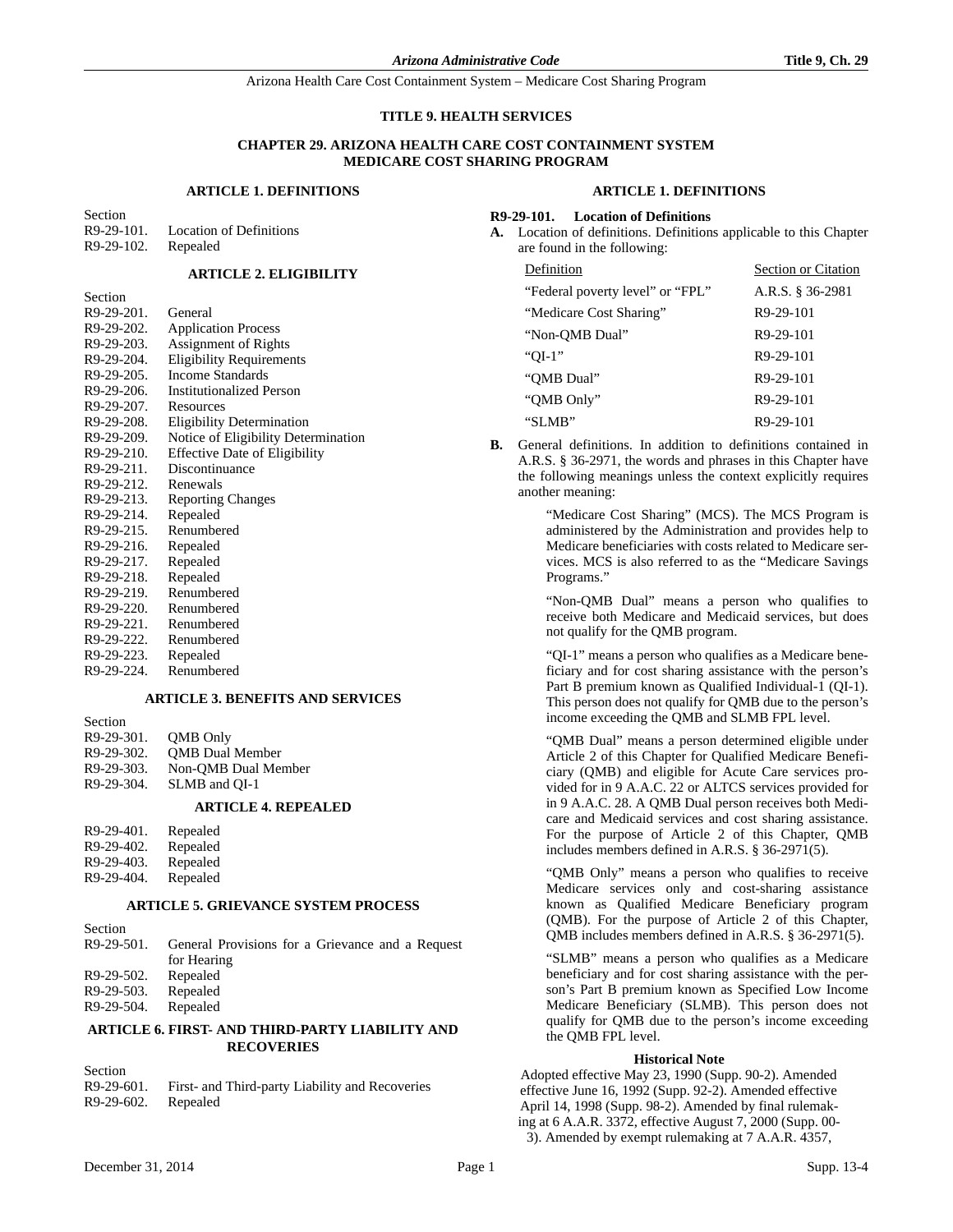### **TITLE 9. HEALTH SERVICES**

### **CHAPTER 29. ARIZONA HEALTH CARE COST CONTAINMENT SYSTEM MEDICARE COST SHARING PROGRAM**

### **ARTICLE 1. DEFINITIONS**

Section R9-29-101. Location of Definitions R9-29-102. Repealed

**Section** 

## **ARTICLE 2. ELIGIBILITY**

| www.       |                                      |
|------------|--------------------------------------|
| R9-29-201. | General                              |
| R9-29-202. | <b>Application Process</b>           |
| R9-29-203. | <b>Assignment of Rights</b>          |
| R9-29-204. | <b>Eligibility Requirements</b>      |
| R9-29-205. | Income Standards                     |
| R9-29-206. | <b>Institutionalized Person</b>      |
| R9-29-207. | Resources                            |
| R9-29-208. | <b>Eligibility Determination</b>     |
| R9-29-209. | Notice of Eligibility Determination  |
| R9-29-210. | <b>Effective Date of Eligibility</b> |
| R9-29-211. | Discontinuance                       |
| R9-29-212. | Renewals                             |
| R9-29-213. | <b>Reporting Changes</b>             |
| R9-29-214. | Repealed                             |
| R9-29-215. | Renumbered                           |
| R9-29-216. | Repealed                             |
| R9-29-217. | Repealed                             |
| R9-29-218. | Repealed                             |
| R9-29-219. | Renumbered                           |
| R9-29-220. | Renumbered                           |
| R9-29-221. | Renumbered                           |
| R9-29-222. | Renumbered                           |
| R9-29-223. | Repealed                             |
| R9-29-224. | Renumbered                           |

### **ARTICLE 3. BENEFITS AND SERVICES**

| <b>SUCCION</b> |                        |
|----------------|------------------------|
| R9-29-301.     | OMB Only               |
| R9-29-302.     | <b>OMB</b> Dual Member |
| R9-29-303.     | Non-OMB Dual Member    |
| R9-29-304.     | SLMB and OI-1          |
|                |                        |

# **ARTICLE 4. REPEALED**

| R9-29-401. | Repealed |
|------------|----------|
| R9-29-402. | Repealed |
| R9-29-403. | Repealed |
| R9-29-404. | Repealed |

**Section** 

 $S = \pm 1$ 

Section

## **ARTICLE 5. GRIEVANCE SYSTEM PROCESS**

| Secuon        |                                                  |
|---------------|--------------------------------------------------|
| $R9-29-501$ . | General Provisions for a Grievance and a Request |
|               | for Hearing                                      |
| R9-29-502.    | Repealed                                         |
| R9-29-503.    | Repealed                                         |
| R9-29-504.    | Repealed                                         |
|               |                                                  |

## **ARTICLE 6. FIRST- AND THIRD-PARTY LIABILITY AND RECOVERIES**

| R9-29-601. | First- and Third-party Liability and Recoveries |
|------------|-------------------------------------------------|
| R9-29-602. | Repealed                                        |

### **ARTICLE 1. DEFINITIONS**

#### **R9-29-101. Location of Definitions**

**A.** Location of definitions. Definitions applicable to this Chapter are found in the following:

| Definition                       | Section or Citation |
|----------------------------------|---------------------|
| "Federal poverty level" or "FPL" | A.R.S. § 36-2981    |
| "Medicare Cost Sharing"          | R9-29-101           |
| "Non-OMB Dual"                   | R9-29-101           |
| "OI-1"                           | R9-29-101           |
| "OMB Dual"                       | R9-29-101           |
| "OMB Only"                       | R9-29-101           |
| "SLMB"                           | R9-29-101           |

**B.** General definitions. In addition to definitions contained in A.R.S. § 36-2971, the words and phrases in this Chapter have the following meanings unless the context explicitly requires another meaning:

> "Medicare Cost Sharing" (MCS). The MCS Program is administered by the Administration and provides help to Medicare beneficiaries with costs related to Medicare services. MCS is also referred to as the "Medicare Savings Programs."

> "Non-QMB Dual" means a person who qualifies to receive both Medicare and Medicaid services, but does not qualify for the QMB program.

> "QI-1" means a person who qualifies as a Medicare beneficiary and for cost sharing assistance with the person's Part B premium known as Qualified Individual-1 (QI-1). This person does not qualify for QMB due to the person's income exceeding the QMB and SLMB FPL level.

> "QMB Dual" means a person determined eligible under Article 2 of this Chapter for Qualified Medicare Beneficiary (QMB) and eligible for Acute Care services provided for in 9 A.A.C. 22 or ALTCS services provided for in 9 A.A.C. 28. A QMB Dual person receives both Medicare and Medicaid services and cost sharing assistance. For the purpose of Article 2 of this Chapter, QMB includes members defined in A.R.S. § 36-2971(5).

> "QMB Only" means a person who qualifies to receive Medicare services only and cost-sharing assistance known as Qualified Medicare Beneficiary program (QMB). For the purpose of Article 2 of this Chapter, QMB includes members defined in A.R.S. § 36-2971(5).

> "SLMB" means a person who qualifies as a Medicare beneficiary and for cost sharing assistance with the person's Part B premium known as Specified Low Income Medicare Beneficiary (SLMB). This person does not qualify for QMB due to the person's income exceeding the QMB FPL level.

#### **Historical Note**

Adopted effective May 23, 1990 (Supp. 90-2). Amended effective June 16, 1992 (Supp. 92-2). Amended effective April 14, 1998 (Supp. 98-2). Amended by final rulemaking at 6 A.A.R. 3372, effective August 7, 2000 (Supp. 00- 3). Amended by exempt rulemaking at 7 A.A.R. 4357,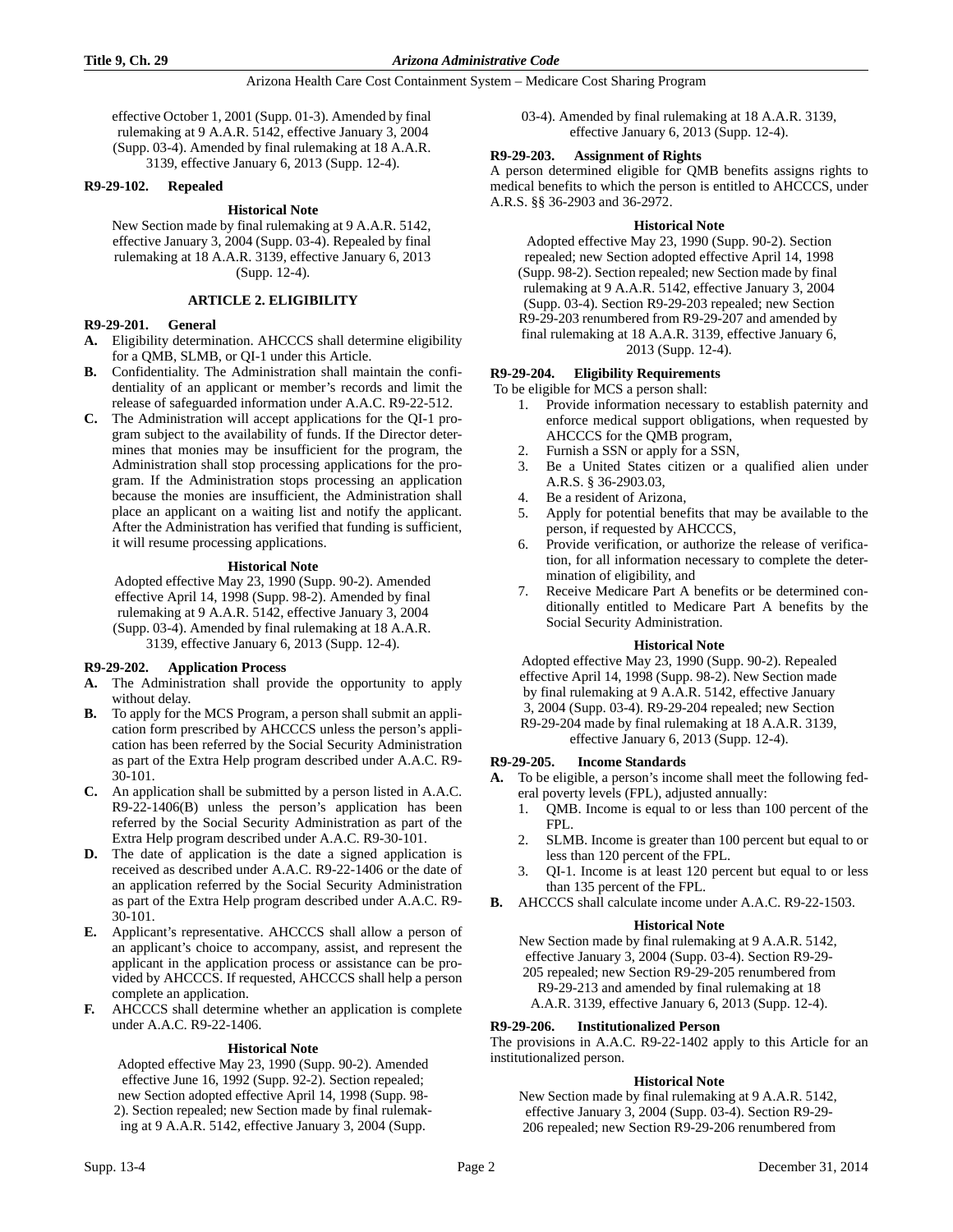effective October 1, 2001 (Supp. 01-3). Amended by final rulemaking at 9 A.A.R. 5142, effective January 3, 2004 (Supp. 03-4). Amended by final rulemaking at 18 A.A.R. 3139, effective January 6, 2013 (Supp. 12-4).

### **R9-29-102. Repealed**

### **Historical Note**

New Section made by final rulemaking at 9 A.A.R. 5142, effective January 3, 2004 (Supp. 03-4). Repealed by final rulemaking at 18 A.A.R. 3139, effective January 6, 2013 (Supp. 12-4).

## **ARTICLE 2. ELIGIBILITY**

### **R9-29-201. General**

- **A.** Eligibility determination. AHCCCS shall determine eligibility for a QMB, SLMB, or QI-1 under this Article.
- **B.** Confidentiality. The Administration shall maintain the confidentiality of an applicant or member's records and limit the release of safeguarded information under A.A.C. R9-22-512.
- **C.** The Administration will accept applications for the QI-1 program subject to the availability of funds. If the Director determines that monies may be insufficient for the program, the Administration shall stop processing applications for the program. If the Administration stops processing an application because the monies are insufficient, the Administration shall place an applicant on a waiting list and notify the applicant. After the Administration has verified that funding is sufficient, it will resume processing applications.

### **Historical Note**

Adopted effective May 23, 1990 (Supp. 90-2). Amended effective April 14, 1998 (Supp. 98-2). Amended by final rulemaking at 9 A.A.R. 5142, effective January 3, 2004 (Supp. 03-4). Amended by final rulemaking at 18 A.A.R. 3139, effective January 6, 2013 (Supp. 12-4).

### **R9-29-202. Application Process**

- **A.** The Administration shall provide the opportunity to apply without delay.
- **B.** To apply for the MCS Program, a person shall submit an application form prescribed by AHCCCS unless the person's application has been referred by the Social Security Administration as part of the Extra Help program described under A.A.C. R9- 30-101.
- **C.** An application shall be submitted by a person listed in A.A.C. R9-22-1406(B) unless the person's application has been referred by the Social Security Administration as part of the Extra Help program described under A.A.C. R9-30-101.
- **D.** The date of application is the date a signed application is received as described under A.A.C. R9-22-1406 or the date of an application referred by the Social Security Administration as part of the Extra Help program described under A.A.C. R9- 30-101.
- **E.** Applicant's representative. AHCCCS shall allow a person of an applicant's choice to accompany, assist, and represent the applicant in the application process or assistance can be provided by AHCCCS. If requested, AHCCCS shall help a person complete an application.
- **F.** AHCCCS shall determine whether an application is complete under A.A.C. R9-22-1406.

## **Historical Note**

Adopted effective May 23, 1990 (Supp. 90-2). Amended effective June 16, 1992 (Supp. 92-2). Section repealed; new Section adopted effective April 14, 1998 (Supp. 98- 2). Section repealed; new Section made by final rulemaking at 9 A.A.R. 5142, effective January 3, 2004 (Supp.

03-4). Amended by final rulemaking at 18 A.A.R. 3139, effective January 6, 2013 (Supp. 12-4).

## **R9-29-203. Assignment of Rights**

A person determined eligible for QMB benefits assigns rights to medical benefits to which the person is entitled to AHCCCS, under A.R.S. §§ 36-2903 and 36-2972.

### **Historical Note**

Adopted effective May 23, 1990 (Supp. 90-2). Section repealed; new Section adopted effective April 14, 1998 (Supp. 98-2). Section repealed; new Section made by final rulemaking at 9 A.A.R. 5142, effective January 3, 2004 (Supp. 03-4). Section R9-29-203 repealed; new Section R9-29-203 renumbered from R9-29-207 and amended by final rulemaking at 18 A.A.R. 3139, effective January 6, 2013 (Supp. 12-4).

**R9-29-204. Eligibility Requirements**

To be eligible for MCS a person shall:

- 1. Provide information necessary to establish paternity and enforce medical support obligations, when requested by AHCCCS for the QMB program,
- Furnish a SSN or apply for a SSN,
- 3. Be a United States citizen or a qualified alien under A.R.S. § 36-2903.03,
- 4. Be a resident of Arizona,
- 5. Apply for potential benefits that may be available to the person, if requested by AHCCCS,
- 6. Provide verification, or authorize the release of verification, for all information necessary to complete the determination of eligibility, and
- 7. Receive Medicare Part A benefits or be determined conditionally entitled to Medicare Part A benefits by the Social Security Administration.

### **Historical Note**

Adopted effective May 23, 1990 (Supp. 90-2). Repealed effective April 14, 1998 (Supp. 98-2). New Section made by final rulemaking at 9 A.A.R. 5142, effective January 3, 2004 (Supp. 03-4). R9-29-204 repealed; new Section R9-29-204 made by final rulemaking at 18 A.A.R. 3139, effective January 6, 2013 (Supp. 12-4).

### **R9-29-205. Income Standards**

- **A.** To be eligible, a person's income shall meet the following federal poverty levels (FPL), adjusted annually:
	- 1. QMB. Income is equal to or less than 100 percent of the FPL.
	- 2. SLMB. Income is greater than 100 percent but equal to or less than 120 percent of the FPL.
	- 3. QI-1. Income is at least 120 percent but equal to or less than 135 percent of the FPL.
- **B.** AHCCCS shall calculate income under A.A.C. R9-22-1503.

## **Historical Note**

New Section made by final rulemaking at 9 A.A.R. 5142, effective January 3, 2004 (Supp. 03-4). Section R9-29- 205 repealed; new Section R9-29-205 renumbered from R9-29-213 and amended by final rulemaking at 18 A.A.R. 3139, effective January 6, 2013 (Supp. 12-4).

## **R9-29-206. Institutionalized Person**

The provisions in A.A.C. R9-22-1402 apply to this Article for an institutionalized person.

## **Historical Note**

New Section made by final rulemaking at 9 A.A.R. 5142, effective January 3, 2004 (Supp. 03-4). Section R9-29- 206 repealed; new Section R9-29-206 renumbered from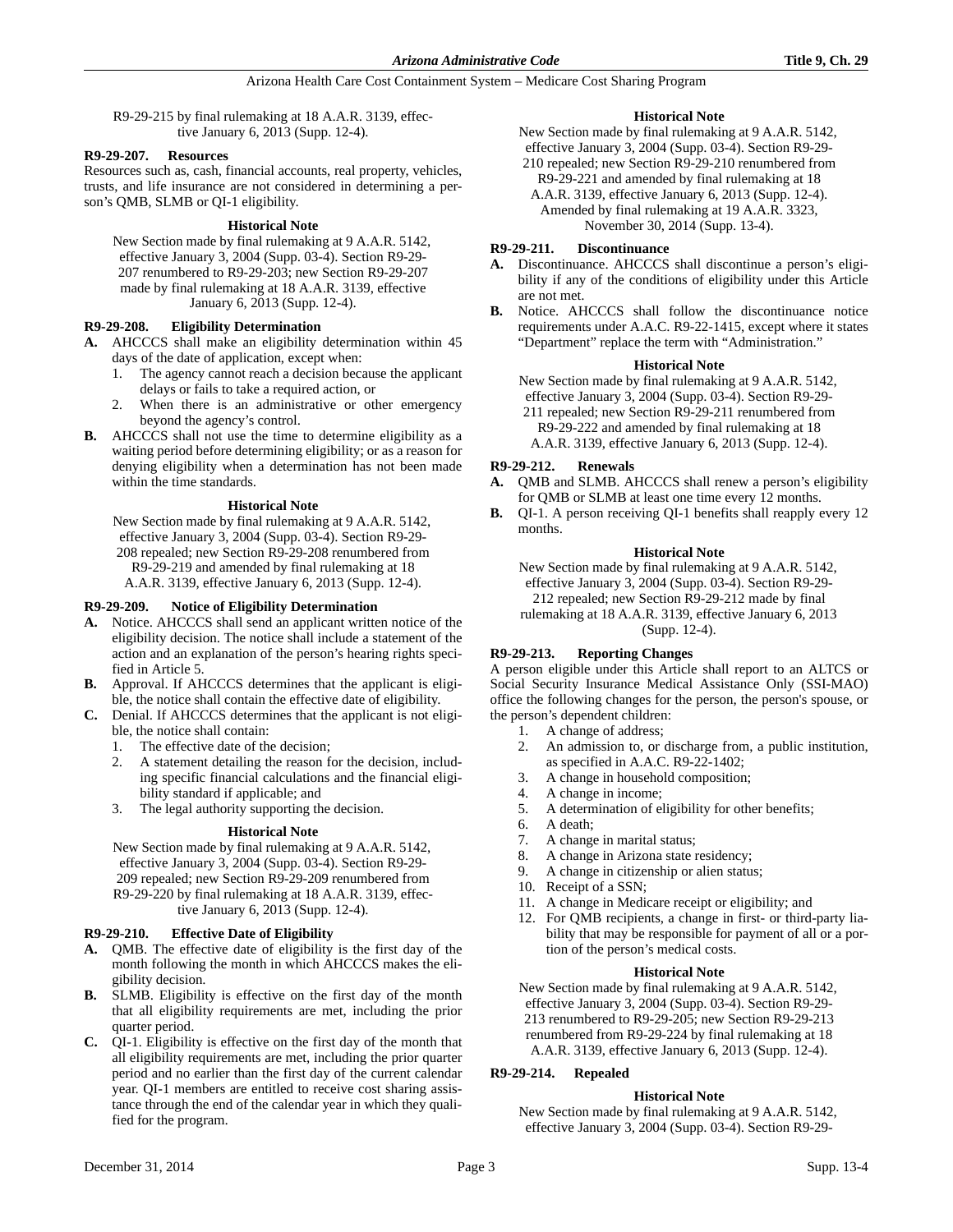R9-29-215 by final rulemaking at 18 A.A.R. 3139, effective January 6, 2013 (Supp. 12-4).

## **R9-29-207. Resources**

Resources such as, cash, financial accounts, real property, vehicles, trusts, and life insurance are not considered in determining a person's QMB, SLMB or QI-1 eligibility.

### **Historical Note**

New Section made by final rulemaking at 9 A.A.R. 5142, effective January 3, 2004 (Supp. 03-4). Section R9-29- 207 renumbered to R9-29-203; new Section R9-29-207 made by final rulemaking at 18 A.A.R. 3139, effective January 6, 2013 (Supp. 12-4).

## **R9-29-208. Eligibility Determination**

- **A.** AHCCCS shall make an eligibility determination within 45 days of the date of application, except when:
	- 1. The agency cannot reach a decision because the applicant delays or fails to take a required action, or
	- 2. When there is an administrative or other emergency beyond the agency's control.
- **B.** AHCCCS shall not use the time to determine eligibility as a waiting period before determining eligibility; or as a reason for denying eligibility when a determination has not been made within the time standards.

### **Historical Note**

New Section made by final rulemaking at 9 A.A.R. 5142, effective January 3, 2004 (Supp. 03-4). Section R9-29- 208 repealed; new Section R9-29-208 renumbered from R9-29-219 and amended by final rulemaking at 18 A.A.R. 3139, effective January 6, 2013 (Supp. 12-4).

### **R9-29-209. Notice of Eligibility Determination**

- **A.** Notice. AHCCCS shall send an applicant written notice of the eligibility decision. The notice shall include a statement of the action and an explanation of the person's hearing rights specified in Article 5.
- **B.** Approval. If AHCCCS determines that the applicant is eligible, the notice shall contain the effective date of eligibility.
- **C.** Denial. If AHCCCS determines that the applicant is not eligible, the notice shall contain:
	- 1. The effective date of the decision;
	- 2. A statement detailing the reason for the decision, including specific financial calculations and the financial eligibility standard if applicable; and
	- 3. The legal authority supporting the decision.

### **Historical Note**

New Section made by final rulemaking at 9 A.A.R. 5142, effective January 3, 2004 (Supp. 03-4). Section R9-29- 209 repealed; new Section R9-29-209 renumbered from R9-29-220 by final rulemaking at 18 A.A.R. 3139, effective January 6, 2013 (Supp. 12-4).

## **R9-29-210. Effective Date of Eligibility**

- **A.** QMB. The effective date of eligibility is the first day of the month following the month in which AHCCCS makes the eligibility decision.
- **B.** SLMB. Eligibility is effective on the first day of the month that all eligibility requirements are met, including the prior quarter period.
- **C.** QI-1. Eligibility is effective on the first day of the month that all eligibility requirements are met, including the prior quarter period and no earlier than the first day of the current calendar year. QI-1 members are entitled to receive cost sharing assistance through the end of the calendar year in which they qualified for the program.

## **Historical Note**

New Section made by final rulemaking at 9 A.A.R. 5142, effective January 3, 2004 (Supp. 03-4). Section R9-29-

210 repealed; new Section R9-29-210 renumbered from R9-29-221 and amended by final rulemaking at 18 A.A.R. 3139, effective January 6, 2013 (Supp. 12-4). Amended by final rulemaking at 19 A.A.R. 3323, November 30, 2014 (Supp. 13-4).

## **R9-29-211. Discontinuance**

- **A.** Discontinuance. AHCCCS shall discontinue a person's eligibility if any of the conditions of eligibility under this Article are not met.
- **B.** Notice. AHCCCS shall follow the discontinuance notice requirements under A.A.C. R9-22-1415, except where it states "Department" replace the term with "Administration."

### **Historical Note**

New Section made by final rulemaking at 9 A.A.R. 5142, effective January 3, 2004 (Supp. 03-4). Section R9-29-

211 repealed; new Section R9-29-211 renumbered from R9-29-222 and amended by final rulemaking at 18 A.A.R. 3139, effective January 6, 2013 (Supp. 12-4).

## **R9-29-212. Renewals**

**A.** QMB and SLMB. AHCCCS shall renew a person's eligibility for QMB or SLMB at least one time every 12 months.

**B.** QI-1. A person receiving QI-1 benefits shall reapply every 12 months.

## **Historical Note**

New Section made by final rulemaking at 9 A.A.R. 5142, effective January 3, 2004 (Supp. 03-4). Section R9-29- 212 repealed; new Section R9-29-212 made by final rulemaking at 18 A.A.R. 3139, effective January 6, 2013 (Supp. 12-4).

## **R9-29-213. Reporting Changes**

A person eligible under this Article shall report to an ALTCS or Social Security Insurance Medical Assistance Only (SSI-MAO) office the following changes for the person, the person's spouse, or the person's dependent children:

- 1. A change of address;
- 2. An admission to, or discharge from, a public institution, as specified in A.A.C. R9-22-1402;
- 3. A change in household composition;
- 4. A change in income;
- 5. A determination of eligibility for other benefits;
- 6. A death;
- 7. A change in marital status;
- 8. A change in Arizona state residency;
- 9. A change in citizenship or alien status;
- 10. Receipt of a SSN;
- 11. A change in Medicare receipt or eligibility; and
- 12. For QMB recipients, a change in first- or third-party liability that may be responsible for payment of all or a portion of the person's medical costs.

### **Historical Note**

New Section made by final rulemaking at 9 A.A.R. 5142, effective January 3, 2004 (Supp. 03-4). Section R9-29- 213 renumbered to R9-29-205; new Section R9-29-213 renumbered from R9-29-224 by final rulemaking at 18 A.A.R. 3139, effective January 6, 2013 (Supp. 12-4).

# **R9-29-214. Repealed**

## **Historical Note**

New Section made by final rulemaking at 9 A.A.R. 5142, effective January 3, 2004 (Supp. 03-4). Section R9-29-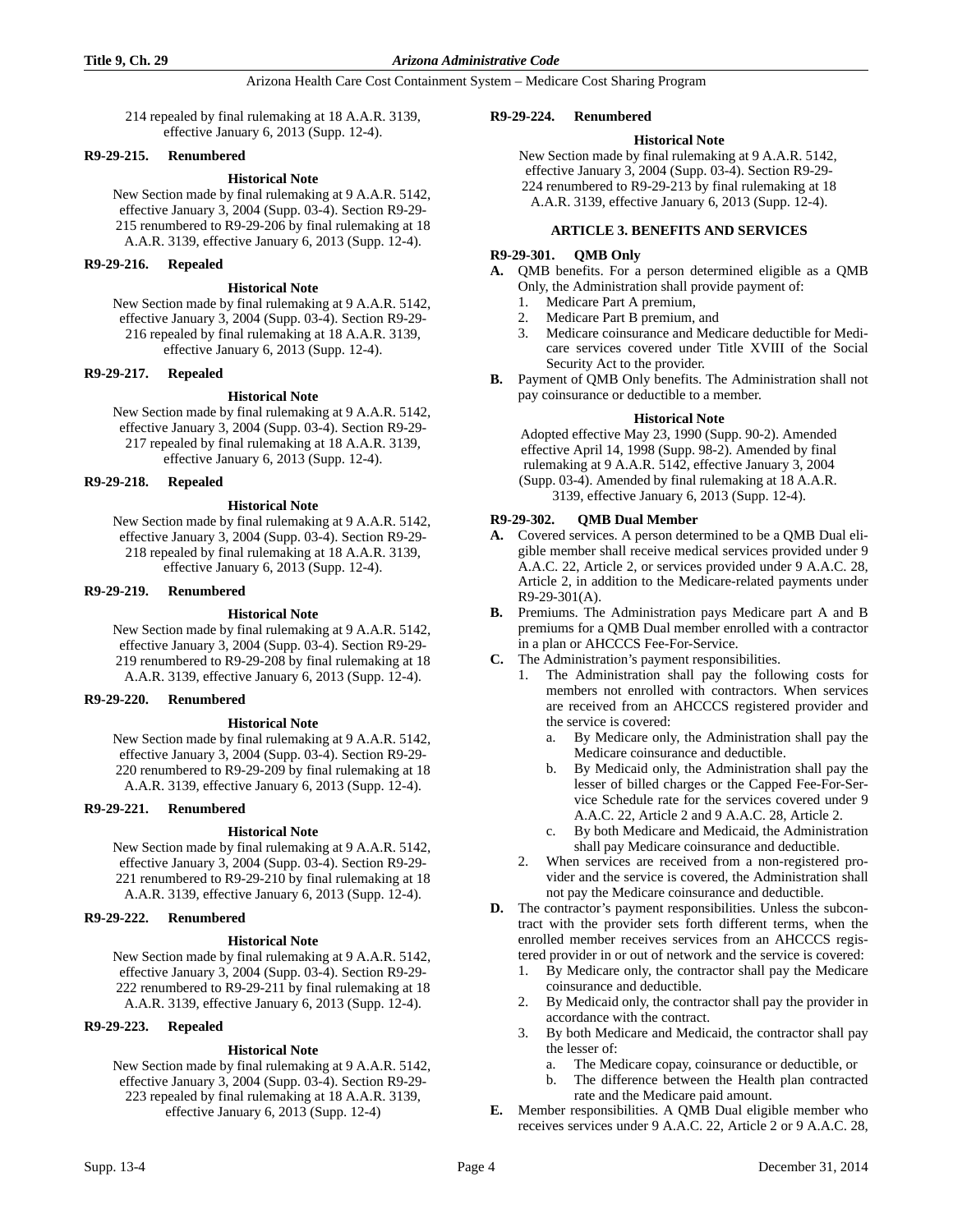214 repealed by final rulemaking at 18 A.A.R. 3139, effective January 6, 2013 (Supp. 12-4).

### **R9-29-215. Renumbered**

## **Historical Note**

New Section made by final rulemaking at 9 A.A.R. 5142, effective January 3, 2004 (Supp. 03-4). Section R9-29- 215 renumbered to R9-29-206 by final rulemaking at 18 A.A.R. 3139, effective January 6, 2013 (Supp. 12-4).

### **R9-29-216. Repealed**

## **Historical Note**

New Section made by final rulemaking at 9 A.A.R. 5142, effective January 3, 2004 (Supp. 03-4). Section R9-29- 216 repealed by final rulemaking at 18 A.A.R. 3139, effective January 6, 2013 (Supp. 12-4).

#### **R9-29-217. Repealed**

### **Historical Note**

New Section made by final rulemaking at 9 A.A.R. 5142, effective January 3, 2004 (Supp. 03-4). Section R9-29- 217 repealed by final rulemaking at 18 A.A.R. 3139, effective January 6, 2013 (Supp. 12-4).

### **R9-29-218. Repealed**

#### **Historical Note**

New Section made by final rulemaking at 9 A.A.R. 5142, effective January 3, 2004 (Supp. 03-4). Section R9-29- 218 repealed by final rulemaking at 18 A.A.R. 3139, effective January 6, 2013 (Supp. 12-4).

## **R9-29-219. Renumbered**

#### **Historical Note**

New Section made by final rulemaking at 9 A.A.R. 5142, effective January 3, 2004 (Supp. 03-4). Section R9-29- 219 renumbered to R9-29-208 by final rulemaking at 18 A.A.R. 3139, effective January 6, 2013 (Supp. 12-4).

### **R9-29-220. Renumbered**

#### **Historical Note**

New Section made by final rulemaking at 9 A.A.R. 5142, effective January 3, 2004 (Supp. 03-4). Section R9-29- 220 renumbered to R9-29-209 by final rulemaking at 18 A.A.R. 3139, effective January 6, 2013 (Supp. 12-4).

### **R9-29-221. Renumbered**

### **Historical Note**

New Section made by final rulemaking at 9 A.A.R. 5142, effective January 3, 2004 (Supp. 03-4). Section R9-29- 221 renumbered to R9-29-210 by final rulemaking at 18 A.A.R. 3139, effective January 6, 2013 (Supp. 12-4).

### **R9-29-222. Renumbered**

## **Historical Note**

New Section made by final rulemaking at 9 A.A.R. 5142, effective January 3, 2004 (Supp. 03-4). Section R9-29- 222 renumbered to R9-29-211 by final rulemaking at 18 A.A.R. 3139, effective January 6, 2013 (Supp. 12-4).

## **R9-29-223. Repealed**

### **Historical Note**

New Section made by final rulemaking at 9 A.A.R. 5142, effective January 3, 2004 (Supp. 03-4). Section R9-29- 223 repealed by final rulemaking at 18 A.A.R. 3139, effective January 6, 2013 (Supp. 12-4)

#### **R9-29-224. Renumbered**

#### **Historical Note**

New Section made by final rulemaking at 9 A.A.R. 5142, effective January 3, 2004 (Supp. 03-4). Section R9-29- 224 renumbered to R9-29-213 by final rulemaking at 18 A.A.R. 3139, effective January 6, 2013 (Supp. 12-4).

### **ARTICLE 3. BENEFITS AND SERVICES**

### **R9-29-301. QMB Only**

- **A.** QMB benefits. For a person determined eligible as a QMB Only, the Administration shall provide payment of:
	- 1. Medicare Part A premium,
	- 2. Medicare Part B premium, and
	- 3. Medicare coinsurance and Medicare deductible for Medicare services covered under Title XVIII of the Social Security Act to the provider.
- **B.** Payment of QMB Only benefits. The Administration shall not pay coinsurance or deductible to a member.

#### **Historical Note**

Adopted effective May 23, 1990 (Supp. 90-2). Amended effective April 14, 1998 (Supp. 98-2). Amended by final rulemaking at 9 A.A.R. 5142, effective January 3, 2004 (Supp. 03-4). Amended by final rulemaking at 18 A.A.R. 3139, effective January 6, 2013 (Supp. 12-4).

### **R9-29-302. QMB Dual Member**

- **A.** Covered services. A person determined to be a QMB Dual eligible member shall receive medical services provided under 9 A.A.C. 22, Article 2, or services provided under 9 A.A.C. 28, Article 2, in addition to the Medicare-related payments under R9-29-301(A).
- **B.** Premiums. The Administration pays Medicare part A and B premiums for a QMB Dual member enrolled with a contractor in a plan or AHCCCS Fee-For-Service.
- **C.** The Administration's payment responsibilities.
	- 1. The Administration shall pay the following costs for members not enrolled with contractors. When services are received from an AHCCCS registered provider and the service is covered:
		- a. By Medicare only, the Administration shall pay the Medicare coinsurance and deductible.
		- b. By Medicaid only, the Administration shall pay the lesser of billed charges or the Capped Fee-For-Service Schedule rate for the services covered under 9 A.A.C. 22, Article 2 and 9 A.A.C. 28, Article 2.
		- c. By both Medicare and Medicaid, the Administration shall pay Medicare coinsurance and deductible.
	- 2. When services are received from a non-registered provider and the service is covered, the Administration shall not pay the Medicare coinsurance and deductible.
- **D.** The contractor's payment responsibilities. Unless the subcontract with the provider sets forth different terms, when the enrolled member receives services from an AHCCCS registered provider in or out of network and the service is covered:
	- 1. By Medicare only, the contractor shall pay the Medicare coinsurance and deductible.
	- 2. By Medicaid only, the contractor shall pay the provider in accordance with the contract.
	- 3. By both Medicare and Medicaid, the contractor shall pay the lesser of:
		- a. The Medicare copay, coinsurance or deductible, or
		- b. The difference between the Health plan contracted rate and the Medicare paid amount.
- **E.** Member responsibilities. A QMB Dual eligible member who receives services under 9 A.A.C. 22, Article 2 or 9 A.A.C. 28,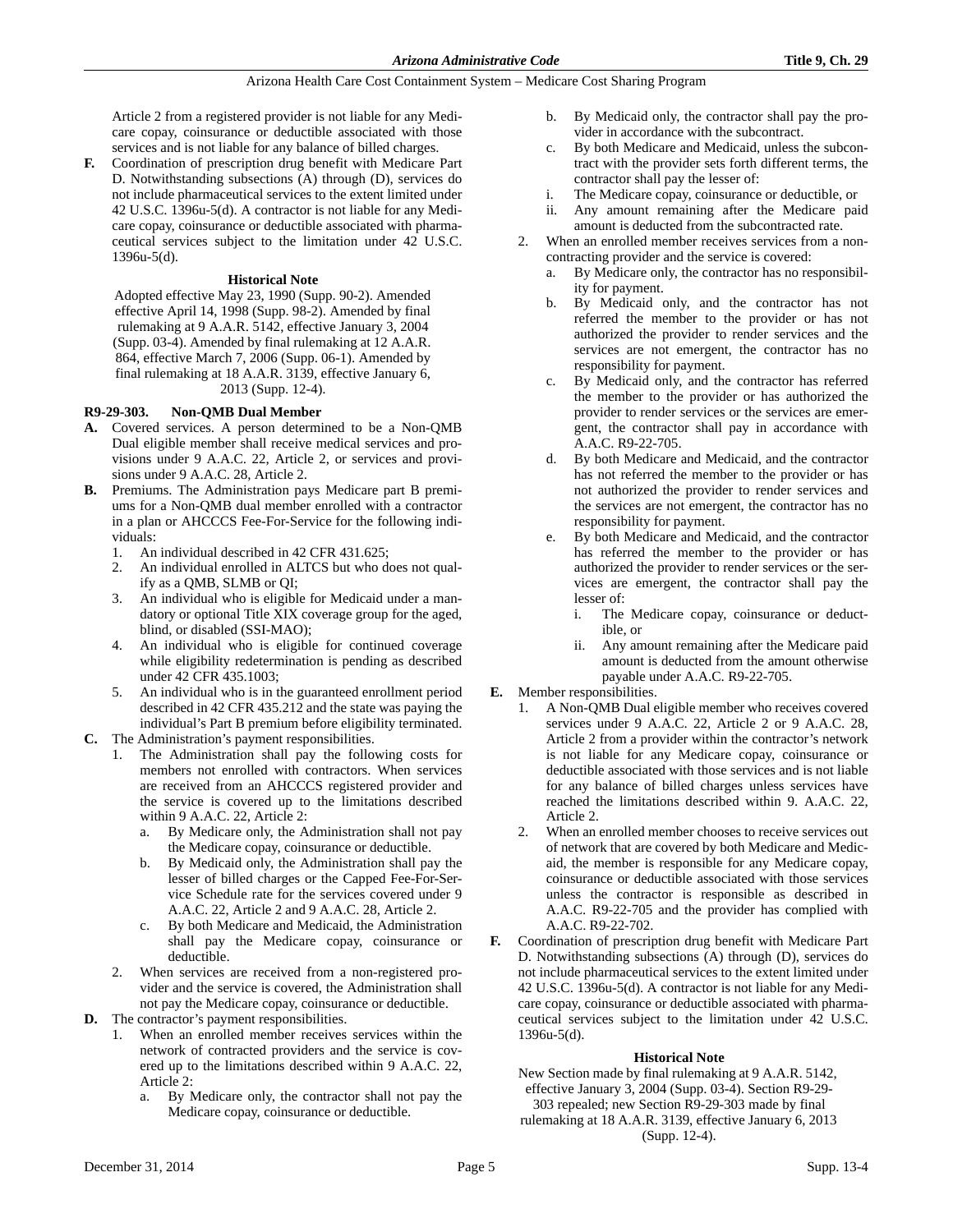Article 2 from a registered provider is not liable for any Medicare copay, coinsurance or deductible associated with those services and is not liable for any balance of billed charges.

**F.** Coordination of prescription drug benefit with Medicare Part D. Notwithstanding subsections (A) through (D), services do not include pharmaceutical services to the extent limited under 42 U.S.C. 1396u-5(d). A contractor is not liable for any Medicare copay, coinsurance or deductible associated with pharmaceutical services subject to the limitation under 42 U.S.C. 1396u-5(d).

### **Historical Note**

Adopted effective May 23, 1990 (Supp. 90-2). Amended effective April 14, 1998 (Supp. 98-2). Amended by final rulemaking at 9 A.A.R. 5142, effective January 3, 2004 (Supp. 03-4). Amended by final rulemaking at 12 A.A.R. 864, effective March 7, 2006 (Supp. 06-1). Amended by final rulemaking at 18 A.A.R. 3139, effective January 6, 2013 (Supp. 12-4).

## **R9-29-303. Non-QMB Dual Member**

- **A.** Covered services. A person determined to be a Non-QMB Dual eligible member shall receive medical services and provisions under 9 A.A.C. 22, Article 2, or services and provisions under 9 A.A.C. 28, Article 2.
- **B.** Premiums. The Administration pays Medicare part B premiums for a Non-QMB dual member enrolled with a contractor in a plan or AHCCCS Fee-For-Service for the following individuals:
	- 1. An individual described in 42 CFR 431.625;
	- 2. An individual enrolled in ALTCS but who does not qualify as a QMB, SLMB or QI;
	- 3. An individual who is eligible for Medicaid under a mandatory or optional Title XIX coverage group for the aged, blind, or disabled (SSI-MAO);
	- 4. An individual who is eligible for continued coverage while eligibility redetermination is pending as described under 42 CFR 435.1003;
	- 5. An individual who is in the guaranteed enrollment period described in 42 CFR 435.212 and the state was paying the individual's Part B premium before eligibility terminated.
- **C.** The Administration's payment responsibilities.
	- 1. The Administration shall pay the following costs for members not enrolled with contractors. When services are received from an AHCCCS registered provider and the service is covered up to the limitations described within 9 A.A.C. 22, Article 2:
		- a. By Medicare only, the Administration shall not pay the Medicare copay, coinsurance or deductible.
		- b. By Medicaid only, the Administration shall pay the lesser of billed charges or the Capped Fee-For-Service Schedule rate for the services covered under 9 A.A.C. 22, Article 2 and 9 A.A.C. 28, Article 2.
		- c. By both Medicare and Medicaid, the Administration shall pay the Medicare copay, coinsurance or deductible.
	- 2. When services are received from a non-registered provider and the service is covered, the Administration shall not pay the Medicare copay, coinsurance or deductible.
- **D.** The contractor's payment responsibilities.
	- 1. When an enrolled member receives services within the network of contracted providers and the service is covered up to the limitations described within 9 A.A.C. 22, Article 2:
		- a. By Medicare only, the contractor shall not pay the Medicare copay, coinsurance or deductible.
- b. By Medicaid only, the contractor shall pay the provider in accordance with the subcontract.
- c. By both Medicare and Medicaid, unless the subcontract with the provider sets forth different terms, the contractor shall pay the lesser of:
- i. The Medicare copay, coinsurance or deductible, or
- ii. Any amount remaining after the Medicare paid amount is deducted from the subcontracted rate.
- 2. When an enrolled member receives services from a noncontracting provider and the service is covered:
	- a. By Medicare only, the contractor has no responsibility for payment.
	- b. By Medicaid only, and the contractor has not referred the member to the provider or has not authorized the provider to render services and the services are not emergent, the contractor has no responsibility for payment.
	- c. By Medicaid only, and the contractor has referred the member to the provider or has authorized the provider to render services or the services are emergent, the contractor shall pay in accordance with A.A.C. R9-22-705.
	- d. By both Medicare and Medicaid, and the contractor has not referred the member to the provider or has not authorized the provider to render services and the services are not emergent, the contractor has no responsibility for payment.
	- By both Medicare and Medicaid, and the contractor has referred the member to the provider or has authorized the provider to render services or the services are emergent, the contractor shall pay the lesser of:
		- i. The Medicare copay, coinsurance or deductible, or
		- ii. Any amount remaining after the Medicare paid amount is deducted from the amount otherwise payable under A.A.C. R9-22-705.

## **E.** Member responsibilities.

- 1. A Non-QMB Dual eligible member who receives covered services under 9 A.A.C. 22, Article 2 or 9 A.A.C. 28, Article 2 from a provider within the contractor's network is not liable for any Medicare copay, coinsurance or deductible associated with those services and is not liable for any balance of billed charges unless services have reached the limitations described within 9. A.A.C. 22, Article 2.
- 2. When an enrolled member chooses to receive services out of network that are covered by both Medicare and Medicaid, the member is responsible for any Medicare copay, coinsurance or deductible associated with those services unless the contractor is responsible as described in A.A.C. R9-22-705 and the provider has complied with A.A.C. R9-22-702.
- **F.** Coordination of prescription drug benefit with Medicare Part D. Notwithstanding subsections (A) through (D), services do not include pharmaceutical services to the extent limited under 42 U.S.C. 1396u-5(d). A contractor is not liable for any Medicare copay, coinsurance or deductible associated with pharmaceutical services subject to the limitation under 42 U.S.C. 1396u-5(d).

## **Historical Note**

New Section made by final rulemaking at 9 A.A.R. 5142, effective January 3, 2004 (Supp. 03-4). Section R9-29- 303 repealed; new Section R9-29-303 made by final rulemaking at 18 A.A.R. 3139, effective January 6, 2013 (Supp. 12-4).